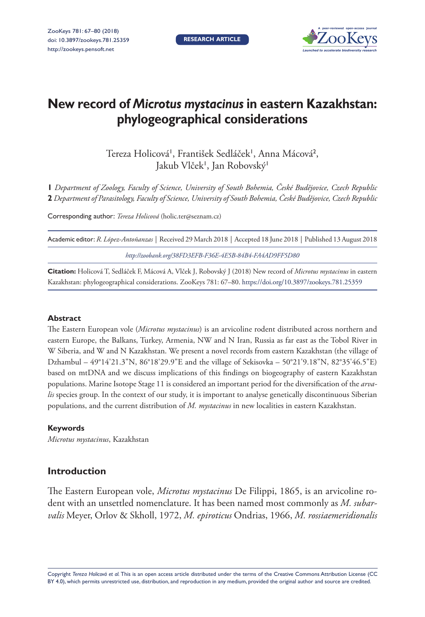**RESEARCH ARTICLE**



# **New record of** *Microtus mystacinus* **in eastern Kazakhstan: phylogeographical considerations**

Tereza Holicová', František Sedláček', Anna Mácová<sup>2</sup>, Jakub Vlček', Jan Robovský'

**1** *Department of Zoology, Faculty of Science, University of South Bohemia, České Budějovice, Czech Republic*  **2** *Department of Parasitology, Faculty of Science, University of South Bohemia, České Budějovice, Czech Republic*

Corresponding author: *Tereza Holicová* ([holic.ter@seznam.cz](mailto:holic.ter@seznam.cz))

| Academic editor: <i>R. López-Antoñanzas</i>   Received 29 March 2018   Accepted 18 June 2018   Published 13 August 2018 |  |
|-------------------------------------------------------------------------------------------------------------------------|--|
| http://zoobank.org/38FD3EFB-F36E-4E5B-84B4-FA4AD9FF5D80                                                                 |  |

**Citation:** Holicová T, Sedláček F, Mácová A, Vlček J, Robovský J (2018) New record of *Microtus mystacinus* in eastern Kazakhstan: phylogeographical considerations. ZooKeys 781: 67–80. <https://doi.org/10.3897/zookeys.781.25359>

#### **Abstract**

The Eastern European vole (*Microtus mystacinus*) is an arvicoline rodent distributed across northern and eastern Europe, the Balkans, Turkey, Armenia, NW and N Iran, Russia as far east as the Tobol River in W Siberia, and W and N Kazakhstan. We present a novel records from eastern Kazakhstan (the village of Dzhambul – 49°14'21.3"N, 86°18'29.9"E and the village of Sekisovka – 50°21'9.18"N, 82°35'46.5"E) based on mtDNA and we discuss implications of this findings on biogeography of eastern Kazakhstan populations. Marine Isotope Stage 11 is considered an important period for the diversification of the *arvalis* species group. In the context of our study, it is important to analyse genetically discontinuous Siberian populations, and the current distribution of *M. mystacinus* in new localities in eastern Kazakhstan.

#### **Keywords**

*Microtus mystacinus*, Kazakhstan

# **Introduction**

The Eastern European vole, *Microtus mystacinus* De Filippi, 1865, is an arvicoline rodent with an unsettled nomenclature. It has been named most commonly as *M. subarvalis* Meyer, Orlov & Skholl, 1972, *M. epiroticus* Ondrias, 1966, *M. rossiaemeridionalis*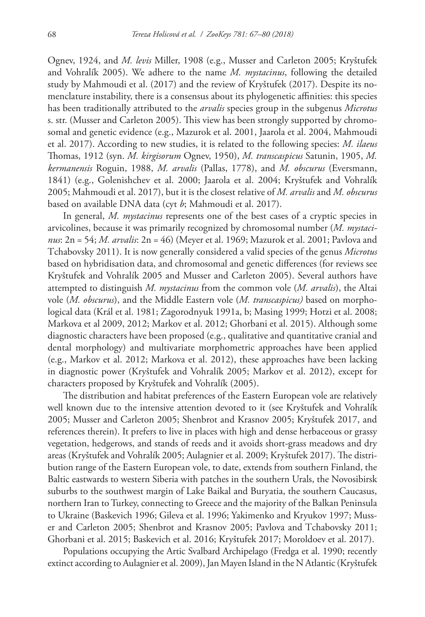Ognev, 1924, and *M. levis* Miller, 1908 (e.g., Musser and Carleton 2005; Kryštufek and Vohralík 2005). We adhere to the name *M. mystacinus*, following the detailed study by Mahmoudi et al. (2017) and the review of Kryštufek (2017). Despite its nomenclature instability, there is a consensus about its phylogenetic affinities: this species has been traditionally attributed to the *arvalis* species group in the subgenus *Microtus*  s. str. (Musser and Carleton 2005). This view has been strongly supported by chromosomal and genetic evidence (e.g., Mazurok et al. 2001, Jaarola et al. 2004, Mahmoudi et al. 2017). According to new studies, it is related to the following species: *M. ilaeus*  Thomas, 1912 (syn. *M. kirgisorum* Ognev, 1950), *M. transcaspicus* Satunin, 1905, *M. kermanensis* Roguin, 1988, *M. arvalis* (Pallas, 1778), and *M. obscurus* (Eversmann, 1841) (e.g., Golenishchev et al. 2000; Jaarola et al. 2004; Kryštufek and Vohralík 2005; Mahmoudi et al. 2017), but it is the closest relative of *M. arvalis* and *M. obscurus* based on available DNA data (cyt *b*; Mahmoudi et al. 2017).

In general, *M. mystacinus* represents one of the best cases of a cryptic species in arvicolines, because it was primarily recognized by chromosomal number (*M. mystacinus*: 2n = 54; *M. arvalis*: 2n = 46) (Meyer et al. 1969; Mazurok et al. 2001; Pavlova and Tchabovsky 2011). It is now generally considered a valid species of the genus *Microtus* based on hybridisation data, and chromosomal and genetic differences (for reviews see Kryštufek and Vohralík 2005 and Musser and Carleton 2005). Several authors have attempted to distinguish *M. mystacinus* from the common vole (*M. arvalis*), the Altai vole (*M. obscurus*), and the Middle Eastern vole (*M. transcaspicus)* based on morphological data (Král et al. 1981; Zagorodnyuk 1991a, b; Masing 1999; Hotzi et al. 2008; Markova et al 2009, 2012; Markov et al. 2012; Ghorbani et al. 2015). Although some diagnostic characters have been proposed (e.g., qualitative and quantitative cranial and dental morphology) and multivariate morphometric approaches have been applied (e.g., Markov et al. 2012; Markova et al. 2012), these approaches have been lacking in diagnostic power (Kryštufek and Vohralík 2005; Markov et al. 2012), except for characters proposed by Kryštufek and Vohralík (2005).

The distribution and habitat preferences of the Eastern European vole are relatively well known due to the intensive attention devoted to it (see Kryštufek and Vohralík 2005; Musser and Carleton 2005; Shenbrot and Krasnov 2005; Kryštufek 2017, and references therein). It prefers to live in places with high and dense herbaceous or grassy vegetation, hedgerows, and stands of reeds and it avoids short-grass meadows and dry areas (Kryštufek and Vohralík 2005; Aulagnier et al. 2009; Kryštufek 2017). The distribution range of the Eastern European vole, to date, extends from southern Finland, the Baltic eastwards to western Siberia with patches in the southern Urals, the Novosibirsk suburbs to the southwest margin of Lake Baikal and Buryatia, the southern Caucasus, northern Iran to Turkey, connecting to Greece and the majority of the Balkan Peninsula to Ukraine (Baskevich 1996; Gileva et al. 1996; Yakimenko and Kryukov 1997; Musser and Carleton 2005; Shenbrot and Krasnov 2005; Pavlova and Tchabovsky 2011; Ghorbani et al. 2015; Baskevich et al. 2016; Kryštufek 2017; Moroldoev et al. 2017).

Populations occupying the Artic Svalbard Archipelago (Fredga et al. 1990; recently extinct according to Aulagnier et al. 2009), Jan Mayen Island in the N Atlantic (Kryštufek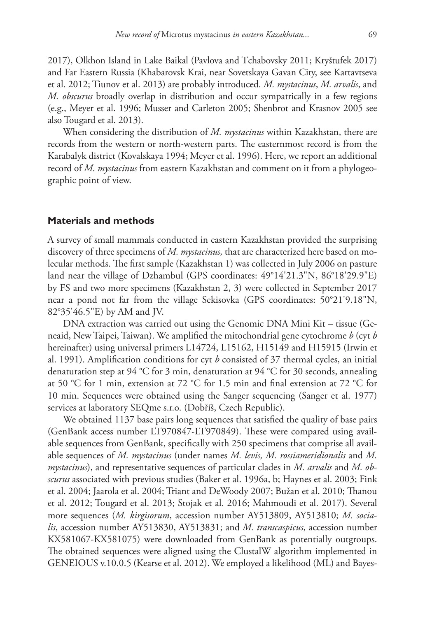2017), Olkhon Island in Lake Baikal (Pavlova and Tchabovsky 2011; Kryštufek 2017) and Far Eastern Russia (Khabarovsk Krai, near Sovetskaya Gavan City, see Kartavtseva et al. 2012; Tiunov et al. 2013) are probably introduced. *M. mystacinus*, *M. arvalis*, and *M. obscurus* broadly overlap in distribution and occur sympatrically in a few regions (e.g., Meyer et al. 1996; Musser and Carleton 2005; Shenbrot and Krasnov 2005 see also Tougard et al. 2013).

When considering the distribution of *M. mystacinus* within Kazakhstan, there are records from the western or north-western parts. The easternmost record is from the Karabalyk district (Kovalskaya 1994; Meyer et al. 1996). Here, we report an additional record of *M. mystacinus* from eastern Kazakhstan and comment on it from a phylogeographic point of view.

#### **Materials and methods**

A survey of small mammals conducted in eastern Kazakhstan provided the surprising discovery of three specimens of *M. mystacinus,* that are characterized here based on molecular methods. The first sample (Kazakhstan 1) was collected in July 2006 on pasture land near the village of Dzhambul (GPS coordinates: 49°14'21.3"N, 86°18'29.9"E) by FS and two more specimens (Kazakhstan 2, 3) were collected in September 2017 near a pond not far from the village Sekisovka (GPS coordinates: 50°21'9.18"N, 82°35'46.5"E) by AM and JV.

DNA extraction was carried out using the Genomic DNA Mini Kit – tissue (Geneaid, New Taipei, Taiwan). We amplified the mitochondrial gene cytochrome *b* (cyt *b*  hereinafter) using universal primers L14724, L15162, H15149 and H15915 (Irwin et al. 1991). Amplification conditions for cyt *b* consisted of 37 thermal cycles, an initial denaturation step at 94 °C for 3 min, denaturation at 94 °C for 30 seconds, annealing at 50 °C for 1 min, extension at 72 °C for 1.5 min and final extension at 72 °C for 10 min. Sequences were obtained using the Sanger sequencing (Sanger et al. 1977) services at laboratory SEQme s.r.o. (Dobříš, Czech Republic).

We obtained 1137 base pairs long sequences that satisfied the quality of base pairs (GenBank access number [LT970847](http://www.ncbi.nlm.nih.gov/nuccore/LT970847)[-LT970849\)](http://www.ncbi.nlm.nih.gov/nuccore/LT970849). These were compared using available sequences from GenBank, specifically with 250 specimens that comprise all available sequences of *M. mystacinus* (under names *M. levis, M. rossiameridionalis* and *M. mystacinus*), and representative sequences of particular clades in *M. arvalis* and *M. obscurus* associated with previous studies (Baker et al. 1996a, b; Haynes et al. 2003; Fink et al. 2004; Jaarola et al. 2004; Triant and DeWoody 2007; Bužan et al. 2010; Thanou et al. 2012; Tougard et al. 2013; Stojak et al. 2016; Mahmoudi et al. 2017). Several more sequences (*M. kirgisorum*, accession number [AY513809](http://www.ncbi.nlm.nih.gov/nuccore/AY513809), [AY513810](http://www.ncbi.nlm.nih.gov/nuccore/AY513810); *M. socialis*, accession number [AY513830,](http://www.ncbi.nlm.nih.gov/nuccore/AY513830) [AY513831](http://www.ncbi.nlm.nih.gov/nuccore/AY513831); and *M. transcaspicus*, accession number [KX581067](http://www.ncbi.nlm.nih.gov/nuccore/KX581067)[-KX581075\)](http://www.ncbi.nlm.nih.gov/nuccore/KX581075) were downloaded from GenBank as potentially outgroups. The obtained sequences were aligned using the ClustalW algorithm implemented in GENEIOUS v.10.0.5 (Kearse et al. 2012). We employed a likelihood (ML) and Bayes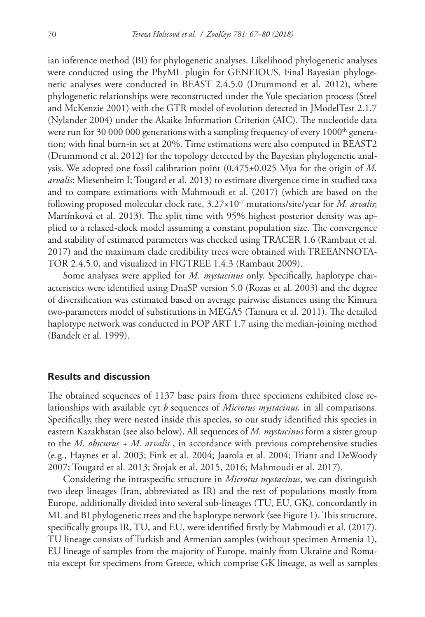ian inference method (BI) for phylogenetic analyses. Likelihood phylogenetic analyses were conducted using the PhyML plugin for GENEIOUS. Final Bayesian phylogenetic analyses were conducted in BEAST 2.4.5.0 (Drummond et al. 2012), where phylogenetic relationships were reconstructed under the Yule speciation process (Steel and McKenzie 2001) with the GTR model of evolution detected in JModelTest 2.1.7 (Nylander 2004) under the Akaike Information Criterion (AIC). The nucleotide data were run for 30 000 000 generations with a sampling frequency of every  $1000<sup>th</sup>$  generation; with final burn-in set at 20%. Time estimations were also computed in BEAST2 (Drummond et al. 2012) for the topology detected by the Bayesian phylogenetic analysis. We adopted one fossil calibration point (0.475±0.025 Mya for the origin of *M. arvalis*: Miesenheim I; Tougard et al. 2013) to estimate divergence time in studied taxa and to compare estimations with Mahmoudi et al. (2017) (which are based on the following proposed molecular clock rate, 3.27×10-7 mutations/site/year for *M. arvalis*; Martínková et al. 2013). The split time with 95% highest posterior density was applied to a relaxed-clock model assuming a constant population size. The convergence and stability of estimated parameters was checked using TRACER 1.6 (Rambaut et al. 2017) and the maximum clade credibility trees were obtained with TREEANNOTA-TOR 2.4.5.0, and visualized in FIGTREE 1.4.3 (Rambaut 2009).

Some analyses were applied for *M. mystacinus* only. Specifically, haplotype characteristics were identified using DnaSP version 5.0 (Rozas et al. 2003) and the degree of diversification was estimated based on average pairwise distances using the Kimura two-parameters model of substitutions in MEGA5 (Tamura et al. 2011). The detailed haplotype network was conducted in POP ART 1.7 using the median-joining method (Bandelt et al. 1999).

## **Results and discussion**

The obtained sequences of 1137 base pairs from three specimens exhibited close relationships with available cyt *b* sequences of *Microtus mystacinus,* in all comparisons. Specifically, they were nested inside this species, so our study identified this species in eastern Kazakhstan (see also below). All sequences of *M. mystacinus* form a sister group to the *M. obscurus + M. arvalis* , in accordance with previous comprehensive studies (e.g., Haynes et al. 2003; Fink et al. 2004; Jaarola et al. 2004; Triant and DeWoody 2007; Tougard et al. 2013; Stojak et al. 2015, 2016; Mahmoudi et al. 2017).

Considering the intraspecific structure in *Microtus mystacinus*, we can distinguish two deep lineages (Iran, abbreviated as IR) and the rest of populations mostly from Europe, additionally divided into several sub-lineages (TU, EU, GK), concordantly in ML and BI phylogenetic trees and the haplotype network (see Figure 1). This structure, specifically groups IR, TU, and EU, were identified firstly by Mahmoudi et al. (2017). TU lineage consists of Turkish and Armenian samples (without specimen Armenia 1), EU lineage of samples from the majority of Europe, mainly from Ukraine and Romania except for specimens from Greece, which comprise GK lineage, as well as samples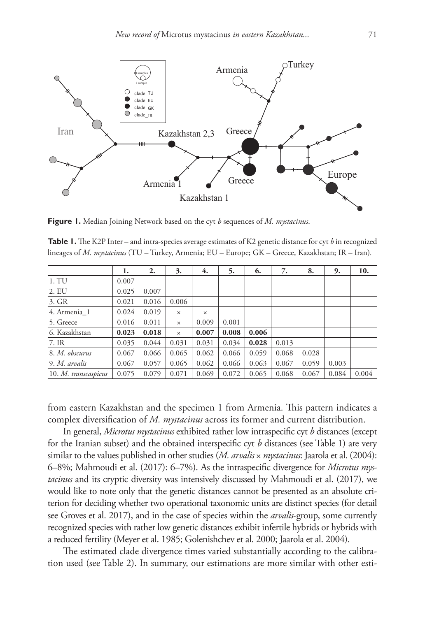

**Figure 1.** Median Joining Network based on the cyt *b* sequences of *M. mystacinus*.

| <b>Table 1.</b> The K2P Inter – and intra-species average estimates of K2 genetic distance for cyt b in recognized |  |  |
|--------------------------------------------------------------------------------------------------------------------|--|--|
| lineages of <i>M. mystacinus</i> (TU – Turkey, Armenia; EU – Europe; GK – Greece, Kazakhstan; IR – Iran).          |  |  |

|                      | 1.    | 2.    | 3.       | 4.       | 5.    | 6.    | 7.    | 8.    | 9.    | 10.   |
|----------------------|-------|-------|----------|----------|-------|-------|-------|-------|-------|-------|
| 1. TU                | 0.007 |       |          |          |       |       |       |       |       |       |
| 2. EU                | 0.025 | 0.007 |          |          |       |       |       |       |       |       |
| 3. GR                | 0.021 | 0.016 | 0.006    |          |       |       |       |       |       |       |
| 4. Armenia 1         | 0.024 | 0.019 | $\times$ | $\times$ |       |       |       |       |       |       |
| 5. Greece            | 0.016 | 0.011 | $\times$ | 0.009    | 0.001 |       |       |       |       |       |
| 6. Kazakhstan        | 0.023 | 0.018 | $\times$ | 0.007    | 0.008 | 0.006 |       |       |       |       |
| 7. IR                | 0.035 | 0.044 | 0.031    | 0.031    | 0.034 | 0.028 | 0.013 |       |       |       |
| 8. M. obscurus       | 0.067 | 0.066 | 0.065    | 0.062    | 0.066 | 0.059 | 0.068 | 0.028 |       |       |
| 9. M. arvalis        | 0.067 | 0.057 | 0.065    | 0.062    | 0.066 | 0.063 | 0.067 | 0.059 | 0.003 |       |
| 10. M. transcaspicus | 0.075 | 0.079 | 0.071    | 0.069    | 0.072 | 0.065 | 0.068 | 0.067 | 0.084 | 0.004 |

from eastern Kazakhstan and the specimen 1 from Armenia. This pattern indicates a complex diversification of *M. mystacinus* across its former and current distribution.

In general, *Microtus mystacinus* exhibited rather low intraspecific cyt *b* distances (except for the Iranian subset) and the obtained interspecific cyt *b* distances (see Table 1) are very similar to the values published in other studies (*M. arvalis* × *mystacinus*: Jaarola et al. (2004): 6–8%; Mahmoudi et al. (2017): 6–7%). As the intraspecific divergence for *Microtus mystacinus* and its cryptic diversity was intensively discussed by Mahmoudi et al. (2017), we would like to note only that the genetic distances cannot be presented as an absolute criterion for deciding whether two operational taxonomic units are distinct species (for detail see Groves et al. 2017), and in the case of species within the *arvalis*-group, some currently recognized species with rather low genetic distances exhibit infertile hybrids or hybrids with a reduced fertility (Meyer et al. 1985; Golenishchev et al. 2000; Jaarola et al. 2004).

The estimated clade divergence times varied substantially according to the calibration used (see Table 2). In summary, our estimations are more similar with other esti-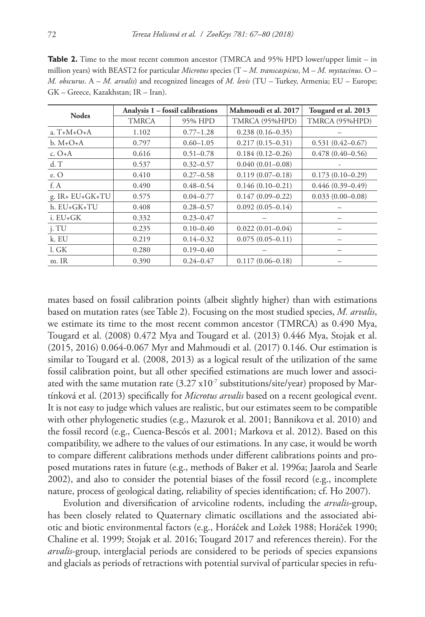**Table 2.** Time to the most recent common ancestor (TMRCA and 95% HPD lower/upper limit – in million years) with BEAST2 for particular *Microtus* species (T – *M. transcaspicus*, M – *M. mystacinus*. O – *M. obscurus*. A – *M. arvalis*) and recognized lineages of *M. levis* (TU – Turkey, Armenia; EU – Europe; GK – Greece, Kazakhstan; IR – Iran).

| <b>Nodes</b>    |              | Analysis 1 – fossil calibrations | Mahmoudi et al. 2017 | Tougard et al. 2013  |  |
|-----------------|--------------|----------------------------------|----------------------|----------------------|--|
|                 | <b>TMRCA</b> | 95% HPD                          | TMRCA (95%HPD)       | TMRCA (95%HPD)       |  |
| a. $T+M+O+A$    | 1.102        | $0.77 - 1.28$                    | $0.238(0.16-0.35)$   |                      |  |
| $b. M+O+A$      | 0.797        | $0.60 - 1.05$                    | $0.217(0.15-0.31)$   | $0.531(0.42 - 0.67)$ |  |
| c. $O+A$        | 0.616        | $0.51 - 0.78$                    | $0.184(0.12 - 0.26)$ | $0.478(0.40 - 0.56)$ |  |
| $d$ . T         | 0.537        | $0.32 - 0.57$                    | $0.040(0.01 - 0.08)$ |                      |  |
| e. O            | 0.410        | $0.27 - 0.58$                    | $0.119(0.07-0.18)$   | $0.173(0.10-0.29)$   |  |
| f. A            | 0.490        | $0.48 - 0.54$                    | $0.146(0.10-0.21)$   | $0.446(0.39 - 0.49)$ |  |
| g. IR+ EU+GK+TU | 0.575        | $0.04 - 0.77$                    | $0.147(0.09 - 0.22)$ | $0.033(0.00-0.08)$   |  |
| h. EU+GK+TU     | 0.408        | $0.28 - 0.57$                    | $0.092(0.05-0.14)$   |                      |  |
| $i. EU+GK$      | 0.332        | $0.23 - 0.47$                    |                      |                      |  |
| j. TU           | 0.235        | $0.10 - 0.40$                    | $0.022(0.01 - 0.04)$ |                      |  |
| k. EU           | 0.219        | $0.14 - 0.32$                    | $0.075(0.05-0.11)$   |                      |  |
| l. GK           | 0.280        | $0.19 - 0.40$                    |                      |                      |  |
| m. IR           | 0.390        | $0.24 - 0.47$                    | $0.117(0.06 - 0.18)$ |                      |  |

mates based on fossil calibration points (albeit slightly higher) than with estimations based on mutation rates (see Table 2). Focusing on the most studied species, *M. arvalis*, we estimate its time to the most recent common ancestor (TMRCA) as 0.490 Mya, Tougard et al. (2008) 0.472 Mya and Tougard et al. (2013) 0.446 Mya, Stojak et al. (2015, 2016) 0.064-0.067 Myr and Mahmoudi et al. (2017) 0.146. Our estimation is similar to Tougard et al. (2008, 2013) as a logical result of the utilization of the same fossil calibration point, but all other specified estimations are much lower and associated with the same mutation rate  $(3.27 \times 10^{-7} \text{ substitutions/site/year})$  proposed by Martínková et al. (2013) specifically for *Microtus arvalis* based on a recent geological event. It is not easy to judge which values are realistic, but our estimates seem to be compatible with other phylogenetic studies (e.g., Mazurok et al. 2001; Bannikova et al. 2010) and the fossil record (e.g., Cuenca-Bescós et al. 2001; Markova et al. 2012). Based on this compatibility, we adhere to the values of our estimations. In any case, it would be worth to compare different calibrations methods under different calibrations points and proposed mutations rates in future (e.g., methods of Baker et al. 1996a; Jaarola and Searle 2002), and also to consider the potential biases of the fossil record (e.g., incomplete nature, process of geological dating, reliability of species identification; cf. Ho 2007).

Evolution and diversification of arvicoline rodents, including the *arvalis*-group, has been closely related to Quaternary climatic oscillations and the associated abiotic and biotic environmental factors (e.g., Horáček and Ložek 1988; Horáček 1990; Chaline et al. 1999; Stojak et al. 2016; Tougard 2017 and references therein). For the *arvalis*-group, interglacial periods are considered to be periods of species expansions and glacials as periods of retractions with potential survival of particular species in refu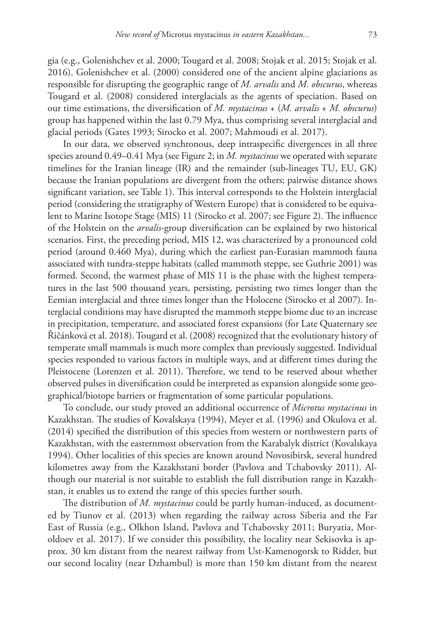gia (e.g., Golenishchev et al. 2000; Tougard et al. 2008; Stojak et al. 2015; Stojak et al. 2016). Golenishchev et al. (2000) considered one of the ancient alpine glaciations as responsible for disrupting the geographic range of *M. arvalis* and *M. obscurus*, whereas Tougard et al. (2008) considered interglacials as the agents of speciation. Based on our time estimations, the diversification of *M. mystacinus* + (*M. arvalis* + *M. obscurus*) group has happened within the last 0.79 Mya, thus comprising several interglacial and glacial periods (Gates 1993; Sirocko et al. 2007; Mahmoudi et al. 2017).

In our data, we observed synchronous, deep intraspecific divergences in all three species around 0.49–0.41 Mya (see Figure 2; in *M. mystacinus* we operated with separate timelines for the Iranian lineage (IR) and the remainder (sub-lineages TU, EU, GK) because the Iranian populations are divergent from the others; pairwise distance shows significant variation, see Table 1). This interval corresponds to the Holstein interglacial period (considering the stratigraphy of Western Europe) that is considered to be equivalent to Marine Isotope Stage (MIS) 11 (Sirocko et al. 2007; see Figure 2). The influence of the Holstein on the *arvalis*-group diversification can be explained by two historical scenarios. First, the preceding period, MIS 12, was characterized by a pronounced cold period (around 0.460 Mya), during which the earliest pan-Eurasian mammoth fauna associated with tundra-steppe habitats (called mammoth steppe, see Guthrie 2001) was formed. Second, the warmest phase of MIS 11 is the phase with the highest temperatures in the last 500 thousand years, persisting, persisting two times longer than the Eemian interglacial and three times longer than the Holocene (Sirocko et al 2007). Interglacial conditions may have disrupted the mammoth steppe biome due to an increase in precipitation, temperature, and associated forest expansions (for Late Quaternary see Řičánková et al. 2018). Tougard et al. (2008) recognized that the evolutionary history of temperate small mammals is much more complex than previously suggested. Individual species responded to various factors in multiple ways, and at different times during the Pleistocene (Lorenzen et al. 2011). Therefore, we tend to be reserved about whether observed pulses in diversification could be interpreted as expansion alongside some geographical/biotope barriers or fragmentation of some particular populations.

To conclude, our study proved an additional occurrence of *Microtus mystacinus* in Kazakhstan. The studies of Kovalskaya (1994), Meyer et al. (1996) and Okulova et al. (2014) specified the distribution of this species from western or northwestern parts of Kazakhstan, with the easternmost observation from the Karabalyk district (Kovalskaya 1994). Other localities of this species are known around Novosibirsk, several hundred kilometres away from the Kazakhstani border (Pavlova and Tchabovsky 2011). Although our material is not suitable to establish the full distribution range in Kazakhstan, it enables us to extend the range of this species further south.

The distribution of *M. mystacinus* could be partly human-induced, as documented by Tiunov et al. (2013) when regarding the railway across Siberia and the Far East of Russia (e.g., Olkhon Island, Pavlova and Tchabovsky 2011; Buryatia, Moroldoev et al. 2017). If we consider this possibility, the locality near Sekisovka is approx. 30 km distant from the nearest railway from Ust-Kamenogorsk to Ridder, but our second locality (near Dzhambul) is more than 150 km distant from the nearest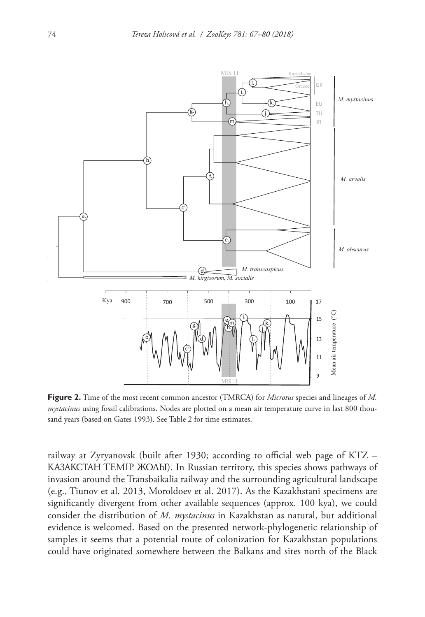

**Figure 2.** Time of the most recent common ancestor (TMRCA) for *Microtus* species and lineages of *M. mystacinus* using fossil calibrations. Nodes are plotted on a mean air temperature curve in last 800 thousand years (based on Gates 1993). See Table 2 for time estimates.

railway at Zyryanovsk (built after 1930; according to official web page of KTZ – КАЗАКСТАН TEMIP ЖОЛЫ). In Russian territory, this species shows pathways of invasion around the Transbaikalia railway and the surrounding agricultural landscape (e.g., Tiunov et al. 2013, Moroldoev et al. 2017). As the Kazakhstani specimens are significantly divergent from other available sequences (approx. 100 kya), we could consider the distribution of *M. mystacinus* in Kazakhstan as natural, but additional evidence is welcomed. Based on the presented network-phylogenetic relationship of samples it seems that a potential route of colonization for Kazakhstan populations could have originated somewhere between the Balkans and sites north of the Black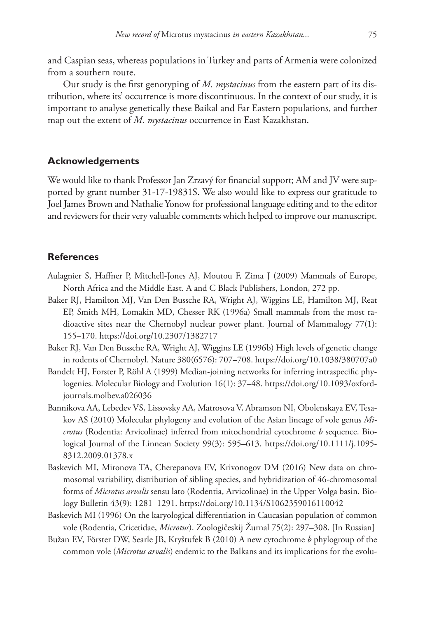and Caspian seas, whereas populations in Turkey and parts of Armenia were colonized from a southern route.

Our study is the first genotyping of *M. mystacinus* from the eastern part of its distribution, where its' occurrence is more discontinuous. In the context of our study, it is important to analyse genetically these Baikal and Far Eastern populations, and further map out the extent of *M. mystacinus* occurrence in East Kazakhstan.

## **Acknowledgements**

We would like to thank Professor Jan Zrzavý for financial support; AM and JV were supported by grant number 31-17-19831S. We also would like to express our gratitude to Joel James Brown and Nathalie Yonow for professional language editing and to the editor and reviewers for their very valuable comments which helped to improve our manuscript.

### **References**

- Aulagnier S, Haffner P, Mitchell-Jones AJ, Moutou F, Zima J (2009) Mammals of Europe, North Africa and the Middle East. A and C Black Publishers, London, 272 pp.
- Baker RJ, Hamilton MJ, Van Den Bussche RA, Wright AJ, Wiggins LE, Hamilton MJ, Reat EP, Smith MH, Lomakin MD, Chesser RK (1996a) Small mammals from the most radioactive sites near the Chernobyl nuclear power plant. Journal of Mammalogy 77(1): 155–170.<https://doi.org/10.2307/1382717>
- Baker RJ, Van Den Bussche RA, Wright AJ, Wiggins LE (1996b) High levels of genetic change in rodents of Chernobyl. Nature 380(6576): 707–708.<https://doi.org/10.1038/380707a0>
- Bandelt HJ, Forster P, Röhl A (1999) Median-joining networks for inferring intraspecific phylogenies. Molecular Biology and Evolution 16(1): 37–48. [https://doi.org/10.1093/oxford](https://doi.org/10.1093/oxfordjournals.molbev.a026036)[journals.molbev.a026036](https://doi.org/10.1093/oxfordjournals.molbev.a026036)
- Bannikova AA, Lebedev VS, Lissovsky AA, Matrosova V, Abramson NI, Obolenskaya EV, Tesakov AS (2010) Molecular phylogeny and evolution of the Asian lineage of vole genus *Microtus* (Rodentia: Arvicolinae) inferred from mitochondrial cytochrome *b* sequence. Biological Journal of the Linnean Society 99(3): 595–613. [https://doi.org/10.1111/j.1095-](https://doi.org/10.1111/j.1095-8312.2009.01378.x) [8312.2009.01378.x](https://doi.org/10.1111/j.1095-8312.2009.01378.x)
- Baskevich MI, Mironova TA, Cherepanova EV, Krivonogov DM (2016) New data on chromosomal variability, distribution of sibling species, and hybridization of 46-chromosomal forms of *Microtus arvalis* sensu lato (Rodentia, Arvicolinae) in the Upper Volga basin. Biology Bulletin 43(9): 1281–1291. <https://doi.org/10.1134/S1062359016110042>
- Baskevich MI (1996) On the karyological differentiation in Caucasian population of common vole (Rodentia, Cricetidae, *Microtus*). Zoologičeskij Žurnal 75(2): 297–308. [In Russian]
- Bužan EV, Förster DW, Searle JB, Kryštufek B (2010) A new cytochrome *b* phylogroup of the common vole (*Microtus arvalis*) endemic to the Balkans and its implications for the evolu-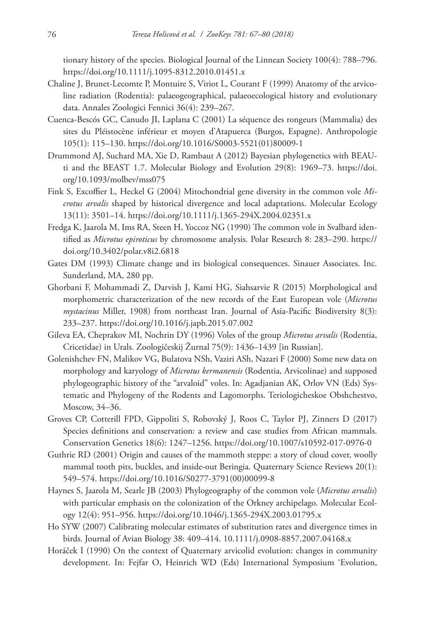tionary history of the species. Biological Journal of the Linnean Society 100(4): 788–796. <https://doi.org/10.1111/j.1095-8312.2010.01451.x>

- Chaline J, Brunet-Lecomte P, Montuire S, Viriot L, Courant F (1999) Anatomy of the arvicoline radiation (Rodentia): palaeogeographical, palaeoecological history and evolutionary data. Annales Zoologici Fennici 36(4): 239–267.
- Cuenca-Bescós GC, Canudo JI, Laplana C (2001) La séquence des rongeurs (Mammalia) des sites du Pléistocène inférieur et moyen d'Atapuerca (Burgos, Espagne). Anthropologie 105(1): 115–130. [https://doi.org/10.1016/S0003-5521\(01\)80009-1](https://doi.org/10.1016/S0003-5521(01)80009-1)
- Drummond AJ, Suchard MA, Xie D, Rambaut A (2012) Bayesian phylogenetics with BEAUti and the BEAST 1.7. Molecular Biology and Evolution 29(8): 1969–73. [https://doi.](https://doi.org/10.1093/molbev/mss075) [org/10.1093/molbev/mss075](https://doi.org/10.1093/molbev/mss075)
- Fink S, Excoffier L, Heckel G (2004) Mitochondrial gene diversity in the common vole *Microtus arvalis* shaped by historical divergence and local adaptations. Molecular Ecology 13(11): 3501–14. <https://doi.org/10.1111/j.1365-294X.2004.02351.x>
- Fredga K, Jaarola M, Ims RA, Steen H, Yoccoz NG (1990) The common vole in Svalbard identified as *Microtus epiroticus* by chromosome analysis. Polar Research 8: 283–290. [https://](https://doi.org/10.3402/polar.v8i2.6818) [doi.org/10.3402/polar.v8i2.6818](https://doi.org/10.3402/polar.v8i2.6818)
- Gates DM (1993) Climate change and its biological consequences. Sinauer Associates. Inc. Sunderland, MA, 280 pp.
- Ghorbani F, Mohammadi Z, Darvish J, Kami HG, Siahsarvie R (2015) Morphological and morphometric characterization of the new records of the East European vole (*Microtus mystacinus* Miller, 1908) from northeast Iran. Journal of Asia-Pacific Biodiversity 8(3): 233–237.<https://doi.org/10.1016/j.japb.2015.07.002>
- Gileva EA, Cheprakov MI, Nochrin DY (1996) Voles of the group *Microtus arvalis* (Rodentia, Cricetidae) in Urals. Zoologičeskij Žurnal 75(9): 1436–1439 [in Russian].
- Golenishchev FN, Malikov VG, Bulatova NSh, Vaziri ASh, Nazari F (2000) Some new data on morphology and karyology of *Microtus kermanensis* (Rodentia, Arvicolinae) and supposed phylogeographic history of the "arvaloid" voles. In: Agadjanian AK, Orlov VN (Eds) Systematic and Phylogeny of the Rodents and Lagomorphs. Teriologicheskoe Obshchestvo, Moscow, 34–36.
- Groves CP, Cotterill FPD, Gippoliti S, Robovský J, Roos C, Taylor PJ, Zinners D (2017) Species definitions and conservation: a review and case studies from African mammals. Conservation Genetics 18(6): 1247–1256.<https://doi.org/10.1007/s10592-017-0976-0>
- Guthrie RD (2001) Origin and causes of the mammoth steppe: a story of cloud cover, woolly mammal tooth pits, buckles, and inside-out Beringia. Quaternary Science Reviews 20(1): 549–574. [https://doi.org/10.1016/S0277-3791\(00\)00099-8](https://doi.org/10.1016/S0277-3791(00)00099-8)
- Haynes S, Jaarola M, Searle JB (2003) Phylogeography of the common vole (*Microtus arvalis*) with particular emphasis on the colonization of the Orkney archipelago. Molecular Ecology 12(4): 951–956.<https://doi.org/10.1046/j.1365-294X.2003.01795.x>
- Ho SYW (2007) Calibrating molecular estimates of substitution rates and divergence times in birds. Journal of Avian Biology 38: 409–414. 10.1111/j.0908-8857.2007.04168.x
- Horáček I (1990) On the context of Quaternary arvicolid evolution: changes in community development. In: Fejfar O, Heinrich WD (Eds) International Symposium 'Evolution,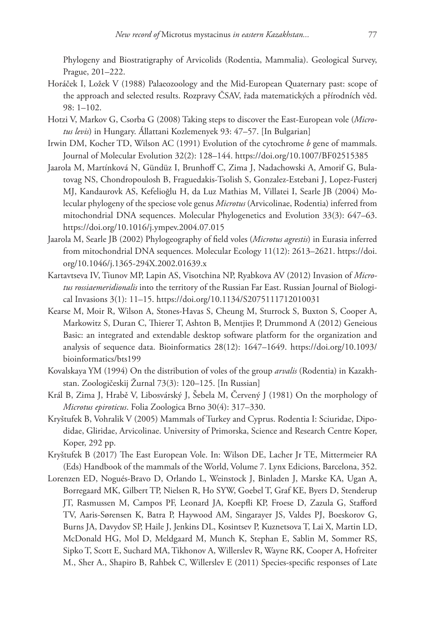Phylogeny and Biostratigraphy of Arvicolids (Rodentia, Mammalia). Geological Survey, Prague, 201–222.

- Horáček I, Ložek V (1988) Palaeozoology and the Mid-European Quaternary past: scope of the approach and selected results. Rozpravy ČSAV, řada matematických a přírodních věd. 98: 1–102.
- Hotzi V, Markov G, Csorba G (2008) Taking steps to discover the East-European vole (*Microtus levis*) in Hungary. Állattani Kozlemenyek 93: 47–57. [In Bulgarian]
- Irwin DM, Kocher TD, Wilson AC (1991) Evolution of the cytochrome *b* gene of mammals. Journal of Molecular Evolution 32(2): 128–144. <https://doi.org/10.1007/BF02515385>
- Jaarola M, Martínková N, Gündüz I, Brunhoff C, Zima J, Nadachowski A, Amorif G, Bulatovag NS, Chondropoulosh B, Fraguedakis-Tsolish S, Gonzalez-Estebani J, Lopez-Fusterj MJ, Kandaurovk AS, Kefelioğlu H, da Luz Mathias M, Villatei I, Searle JB (2004) Molecular phylogeny of the speciose vole genus *Microtus* (Arvicolinae, Rodentia) inferred from mitochondrial DNA sequences. Molecular Phylogenetics and Evolution 33(3): 647–63. <https://doi.org/10.1016/j.ympev.2004.07.015>
- Jaarola M, Searle JB (2002) Phylogeography of field voles (*Microtus agrestis*) in Eurasia inferred from mitochondrial DNA sequences. Molecular Ecology 11(12): 2613–2621. [https://doi.](https://doi.org/10.1046/j.1365-294X.2002.01639.x) [org/10.1046/j.1365-294X.2002.01639.x](https://doi.org/10.1046/j.1365-294X.2002.01639.x)
- Kartavtseva IV, Tiunov MP, Lapin AS, Visotchina NP, Ryabkova AV (2012) Invasion of *Microtus rossiaemeridionalis* into the territory of the Russian Far East. Russian Journal of Biological Invasions 3(1): 11–15.<https://doi.org/10.1134/S2075111712010031>
- Kearse M, Moir R, Wilson A, Stones-Havas S, Cheung M, Sturrock S, Buxton S, Cooper A, Markowitz S, Duran C, Thierer T, Ashton B, Mentjies P, Drummond A (2012) Geneious Basic: an integrated and extendable desktop software platform for the organization and analysis of sequence data. Bioinformatics 28(12): 1647–1649. [https://doi.org/10.1093/](https://doi.org/10.1093/bioinformatics/bts199) [bioinformatics/bts199](https://doi.org/10.1093/bioinformatics/bts199)
- Kovalskaya YM (1994) On the distribution of voles of the group *arvalis* (Rodentia) in Kazakhstan. Zoologičeskij Žurnal 73(3): 120–125. [In Russian]
- Král B, Zima J, Hrabě V, Libosvárský J, Šebela M, Červený J (1981) On the morphology of *Microtus epiroticus*. Folia Zoologica Brno 30(4): 317–330.
- Kryštufek B, Vohralik V (2005) Mammals of Turkey and Cyprus. Rodentia I: Sciuridae, Dipodidae, Gliridae, Arvicolinae. University of Primorska, Science and Research Centre Koper, Koper, 292 pp.
- Kryštufek B (2017) The East European Vole. In: Wilson DE, Lacher Jr TE, Mittermeier RA (Eds) Handbook of the mammals of the World, Volume 7. Lynx Edicions, Barcelona, 352.
- Lorenzen ED, Nogués-Bravo D, Orlando L, Weinstock J, Binladen J, Marske KA, Ugan A, Borregaard MK, Gilbert TP, Nielsen R, Ho SYW, Goebel T, Graf KE, Byers D, Stenderup JT, Rasmussen M, Campos PF, Leonard JA, Koepfli KP, Froese D, Zazula G, Stafford TV, Aaris-Sørensen K, Batra P, Haywood AM, Singarayer JS, Valdes PJ, Boeskorov G, Burns JA, Davydov SP, Haile J, Jenkins DL, Kosintsev P, Kuznetsova T, Lai X, Martin LD, McDonald HG, Mol D, Meldgaard M, Munch K, Stephan E, Sablin M, Sommer RS, Sipko T, Scott E, Suchard MA, Tikhonov A, Willerslev R, Wayne RK, Cooper A, Hofreiter M., Sher A., Shapiro B, Rahbek C, Willerslev E (2011) Species-specific responses of Late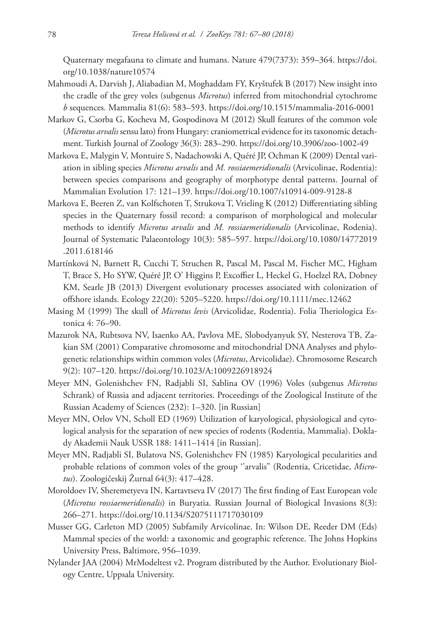Quaternary megafauna to climate and humans. Nature 479(7373): 359–364. [https://doi.](https://doi.org/10.1038/nature10574) [org/10.1038/nature10574](https://doi.org/10.1038/nature10574)

- Mahmoudi A, Darvish J, Aliabadian M, Moghaddam FY, Kryštufek B (2017) New insight into the cradle of the grey voles (subgenus *Microtus*) inferred from mitochondrial cytochrome *b* sequences. Mammalia 81(6): 583–593.<https://doi.org/10.1515/mammalia-2016-0001>
- Markov G, Csorba G, Kocheva M, Gospodinova M (2012) Skull features of the common vole (*Microtus arvalis* sensu lato) from Hungary: craniometrical evidence for its taxonomic detachment. Turkish Journal of Zoology 36(3): 283–290. <https://doi.org/10.3906/zoo-1002-49>
- Markova E, Malygin V, Montuire S, Nadachowski A, Quéré JP, Ochman K (2009) Dental variation in sibling species *Microtus arvalis* and *M. rossiaemeridionalis* (Arvicolinae, Rodentia): between species comparisons and geography of morphotype dental patterns. Journal of Mammalian Evolution 17: 121–139. <https://doi.org/10.1007/s10914-009-9128-8>
- Markova E, Beeren Z, van Kolfschoten T, Strukova T, Vrieling K (2012) Differentiating sibling species in the Quaternary fossil record: a comparison of morphological and molecular methods to identify *Microtus arvalis* and *M. rossiaemeridionalis* (Arvicolinae, Rodenia). Journal of Systematic Palaeontology 10(3): 585–597. [https://doi.org/10.1080/14772019](https://doi.org/10.1080/14772019.2011.618146) [.2011.618146](https://doi.org/10.1080/14772019.2011.618146)
- Martínková N, Barnett R, Cucchi T, Struchen R, Pascal M, Pascal M, Fischer MC, Higham T, Brace S, Ho SYW, Quéré JP, O' Higgins P, Excoffier L, Heckel G, Hoelzel RA, Dobney KM, Searle JB (2013) Divergent evolutionary processes associated with colonization of offshore islands. Ecology 22(20): 5205–5220.<https://doi.org/10.1111/mec.12462>
- Masing M (1999) The skull of *Microtus levis* (Arvicolidae, Rodentia). Folia Theriologica Estonica 4: 76–90.
- Mazurok NA, Rubtsova NV, Isaenko AA, Pavlova ME, Slobodyanyuk SY, Nesterova TB, Zakian SM (2001) Comparative chromosome and mitochondrial DNA Analyses and phylogenetic relationships within common voles (*Microtus*, Arvicolidae). Chromosome Research 9(2): 107–120. <https://doi.org/10.1023/A:1009226918924>
- Meyer MN, Golenishchev FN, Radjabli SI, Sablina OV (1996) Voles (subgenus *Microtus* Schrank) of Russia and adjacent territories. Proceedings of the Zoological Institute of the Russian Academy of Sciences (232): 1–320. [in Russian]
- Meyer MN, Orlov VN, Scholl ED (1969) Utilization of karyological, physiological and cytological analysis for the separation of new species of rodents (Rodentia, Mammalia). Doklady Akademii Nauk USSR 188: 1411–1414 [in Russian].
- Meyer MN, Radjabli SI, Bulatova NS, Golenishchev FN (1985) Karyological pecularities and probable relations of common voles of the group ''arvalis'' (Rodentia, Cricetidae, *Microtus*). Zoologičeskij Žurnal 64(3): 417–428.
- Moroldoev IV, Sheremetyeva IN, Kartavtseva IV (2017) The first finding of East European vole (*Microtus rossiaemeridionalis*) in Buryatia. Russian Journal of Biological Invasions 8(3): 266–271.<https://doi.org/10.1134/S2075111717030109>
- Musser GG, Carleton MD (2005) Subfamily Arvicolinae. In: Wilson DE, Reeder DM (Eds) Mammal species of the world: a taxonomic and geographic reference. The Johns Hopkins University Press, Baltimore, 956–1039.
- Nylander JAA (2004) MrModeltest v2. Program distributed by the Author. Evolutionary Biology Centre, Uppsala University.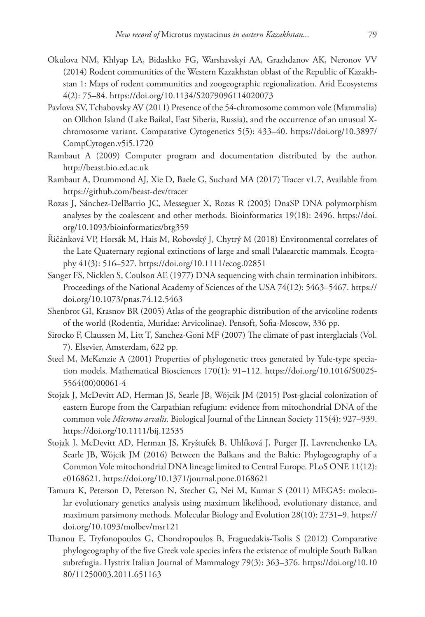- Okulova NM, Khlyap LA, Bidashko FG, Warshavskyi AA, Grazhdanov AK, Neronov VV (2014) Rodent communities of the Western Kazakhstan oblast of the Republic of Kazakhstan 1: Maps of rodent communities and zoogeographic regionalization. Arid Ecosystems 4(2): 75–84. <https://doi.org/10.1134/S2079096114020073>
- Pavlova SV, Tchabovsky AV (2011) Presence of the 54-chromosome common vole (Mammalia) on Olkhon Island (Lake Baikal, East Siberia, Russia), and the occurrence of an unusual Xchromosome variant. Comparative Cytogenetics 5(5): 433–40. [https://doi.org/10.3897/](https://doi.org/10.3897/CompCytogen.v5i5.1720) [CompCytogen.v5i5.1720](https://doi.org/10.3897/CompCytogen.v5i5.1720)
- Rambaut A (2009) Computer program and documentation distributed by the author. <http://beast.bio.ed.ac.uk>
- Rambaut A, Drummond AJ, Xie D, Baele G, Suchard MA (2017) Tracer v1.7, Available from <https://github.com/beast-dev/tracer>
- Rozas J, Sánchez-DelBarrio JC, Messeguer X, Rozas R (2003) DnaSP DNA polymorphism analyses by the coalescent and other methods. Bioinformatics 19(18): 2496. [https://doi.](https://doi.org/10.1093/bioinformatics/btg359) [org/10.1093/bioinformatics/btg359](https://doi.org/10.1093/bioinformatics/btg359)
- Řičánková VP, Horsák M, Hais M, Robovský J, Chytrý M (2018) Environmental correlates of the Late Quaternary regional extinctions of large and small Palaearctic mammals. Ecography 41(3): 516–527. <https://doi.org/10.1111/ecog.02851>
- Sanger FS, Nicklen S, Coulson AE (1977) DNA sequencing with chain termination inhibitors. Proceedings of the National Academy of Sciences of the USA 74(12): 5463–5467. [https://](https://doi.org/10.1073/pnas.74.12.5463) [doi.org/10.1073/pnas.74.12.5463](https://doi.org/10.1073/pnas.74.12.5463)
- Shenbrot GI, Krasnov BR (2005) Atlas of the geographic distribution of the arvicoline rodents of the world (Rodentia, Muridae: Arvicolinae). Pensoft, Sofia-Moscow, 336 pp.
- Sirocko F, Claussen M, Litt T, Sanchez-Goni MF (2007) The climate of past interglacials (Vol. 7). Elsevier, Amsterdam, 622 pp.
- Steel M, McKenzie A (2001) Properties of phylogenetic trees generated by Yule-type speciation models. Mathematical Biosciences 170(1): 91–112. [https://doi.org/10.1016/S0025-](https://doi.org/10.1016/S0025-5564(00)00061-4) [5564\(00\)00061-4](https://doi.org/10.1016/S0025-5564(00)00061-4)
- Stojak J, McDevitt AD, Herman JS, Searle JB, Wójcik JM (2015) Post-glacial colonization of eastern Europe from the Carpathian refugium: evidence from mitochondrial DNA of the common vole *Microtus arvalis*. Biological Journal of the Linnean Society 115(4): 927–939. <https://doi.org/10.1111/bij.12535>
- Stojak J, McDevitt AD, Herman JS, Kryštufek B, Uhlíková J, Purger JJ, Lavrenchenko LA, Searle JB, Wójcik JM (2016) Between the Balkans and the Baltic: Phylogeography of a Common Vole mitochondrial DNA lineage limited to Central Europe. PLoS ONE 11(12): e0168621.<https://doi.org/10.1371/journal.pone.0168621>
- Tamura K, Peterson D, Peterson N, Stecher G, Nei M, Kumar S (2011) MEGA5: molecular evolutionary genetics analysis using maximum likelihood, evolutionary distance, and maximum parsimony methods. Molecular Biology and Evolution 28(10): 2731–9. [https://](https://doi.org/10.1093/molbev/msr121) [doi.org/10.1093/molbev/msr121](https://doi.org/10.1093/molbev/msr121)
- Thanou E, Tryfonopoulos G, Chondropoulos B, Fraguedakis-Tsolis S (2012) Comparative phylogeography of the five Greek vole species infers the existence of multiple South Balkan subrefugia. Hystrix Italian Journal of Mammalogy 79(3): 363–376. [https://doi.org/10.10](https://doi.org/10.1080/11250003.2011.651163) [80/11250003.2011.651163](https://doi.org/10.1080/11250003.2011.651163)